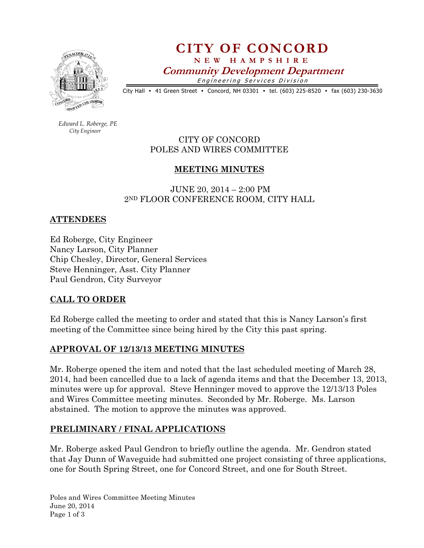

CITY OF CONCORD N E W H A M P S H I R E

Community Development Department

Engineering Services Division

City Hall • 41 Green Street • Concord, NH 03301 • tel. (603) 225-8520 • fax (603) 230-3630

 Edward L. Roberge, PE City Engineer

CITY OF CONCORD POLES AND WIRES COMMITTEE

# MEETING MINUTES

 JUNE 20, 2014 – 2:00 PM 2ND FLOOR CONFERENCE ROOM, CITY HALL

### ATTENDEES

Ed Roberge, City Engineer Nancy Larson, City Planner Chip Chesley, Director, General Services Steve Henninger, Asst. City Planner Paul Gendron, City Surveyor

### CALL TO ORDER

Ed Roberge called the meeting to order and stated that this is Nancy Larson's first meeting of the Committee since being hired by the City this past spring.

### APPROVAL OF 12/13/13 MEETING MINUTES

Mr. Roberge opened the item and noted that the last scheduled meeting of March 28, 2014, had been cancelled due to a lack of agenda items and that the December 13, 2013, minutes were up for approval. Steve Henninger moved to approve the 12/13/13 Poles and Wires Committee meeting minutes. Seconded by Mr. Roberge. Ms. Larson abstained. The motion to approve the minutes was approved.

### PRELIMINARY / FINAL APPLICATIONS

Mr. Roberge asked Paul Gendron to briefly outline the agenda. Mr. Gendron stated that Jay Dunn of Waveguide had submitted one project consisting of three applications, one for South Spring Street, one for Concord Street, and one for South Street.

Poles and Wires Committee Meeting Minutes June 20, 2014 Page 1 of 3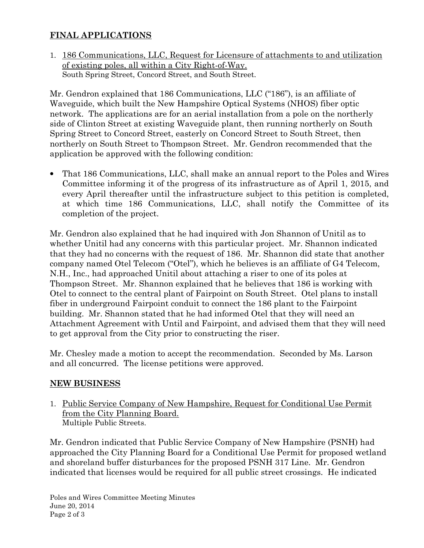# FINAL APPLICATIONS

1. 186 Communications, LLC, Request for Licensure of attachments to and utilization of existing poles, all within a City Right-of-Way. South Spring Street, Concord Street, and South Street.

Mr. Gendron explained that 186 Communications, LLC ("186"), is an affiliate of Waveguide, which built the New Hampshire Optical Systems (NHOS) fiber optic network. The applications are for an aerial installation from a pole on the northerly side of Clinton Street at existing Waveguide plant, then running northerly on South Spring Street to Concord Street, easterly on Concord Street to South Street, then northerly on South Street to Thompson Street. Mr. Gendron recommended that the application be approved with the following condition:

• That 186 Communications, LLC, shall make an annual report to the Poles and Wires Committee informing it of the progress of its infrastructure as of April 1, 2015, and every April thereafter until the infrastructure subject to this petition is completed, at which time 186 Communications, LLC, shall notify the Committee of its completion of the project.

Mr. Gendron also explained that he had inquired with Jon Shannon of Unitil as to whether Unitil had any concerns with this particular project. Mr. Shannon indicated that they had no concerns with the request of 186. Mr. Shannon did state that another company named Otel Telecom ("Otel"), which he believes is an affiliate of G4 Telecom, N.H., Inc., had approached Unitil about attaching a riser to one of its poles at Thompson Street. Mr. Shannon explained that he believes that 186 is working with Otel to connect to the central plant of Fairpoint on South Street. Otel plans to install fiber in underground Fairpoint conduit to connect the 186 plant to the Fairpoint building. Mr. Shannon stated that he had informed Otel that they will need an Attachment Agreement with Until and Fairpoint, and advised them that they will need to get approval from the City prior to constructing the riser.

Mr. Chesley made a motion to accept the recommendation. Seconded by Ms. Larson and all concurred. The license petitions were approved.

### NEW BUSINESS

1. Public Service Company of New Hampshire, Request for Conditional Use Permit from the City Planning Board. Multiple Public Streets.

Mr. Gendron indicated that Public Service Company of New Hampshire (PSNH) had approached the City Planning Board for a Conditional Use Permit for proposed wetland and shoreland buffer disturbances for the proposed PSNH 317 Line. Mr. Gendron indicated that licenses would be required for all public street crossings. He indicated

Poles and Wires Committee Meeting Minutes June 20, 2014 Page 2 of 3